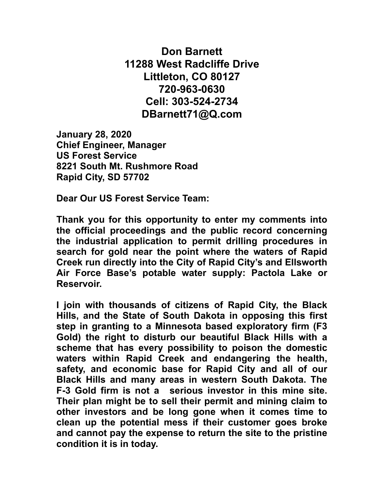**Don Barnett 11288 West Radcliffe Drive Littleton, CO 80127 720-963-0630 Cell: 303-524-2734 DBarnett71@Q.com**

**January 28, 2020 Chief Engineer, Manager US Forest Service 8221 South Mt. Rushmore Road Rapid City, SD 57702** 

**Dear Our US Forest Service Team:** 

**Thank you for this opportunity to enter my comments into the official proceedings and the public record concerning the industrial application to permit drilling procedures in search for gold near the point where the waters of Rapid Creek run directly into the City of Rapid City's and Ellsworth Air Force Base's potable water supply: Pactola Lake or Reservoir.** 

**I join with thousands of citizens of Rapid City, the Black Hills, and the State of South Dakota in opposing this first step in granting to a Minnesota based exploratory firm (F3 Gold) the right to disturb our beautiful Black Hills with a scheme that has every possibility to poison the domestic waters within Rapid Creek and endangering the health, safety, and economic base for Rapid City and all of our Black Hills and many areas in western South Dakota. The F-3 Gold firm is not a serious investor in this mine site. Their plan might be to sell their permit and mining claim to other investors and be long gone when it comes time to clean up the potential mess if their customer goes broke and cannot pay the expense to return the site to the pristine condition it is in today.**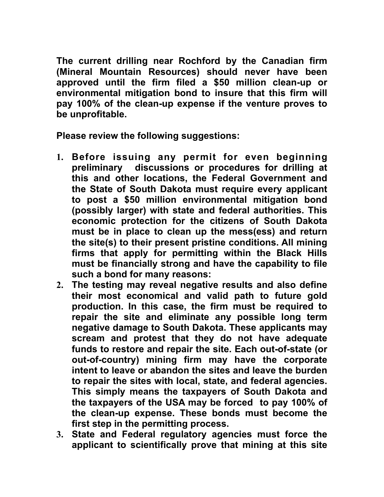**The current drilling near Rochford by the Canadian firm (Mineral Mountain Resources) should never have been approved until the firm filed a \$50 million clean-up or environmental mitigation bond to insure that this firm will pay 100% of the clean-up expense if the venture proves to be unprofitable.** 

**Please review the following suggestions:** 

- **1. Before issuing any permit for even beginning preliminary discussions or procedures for drilling at this and other locations, the Federal Government and the State of South Dakota must require every applicant to post a \$50 million environmental mitigation bond (possibly larger) with state and federal authorities. This economic protection for the citizens of South Dakota must be in place to clean up the mess(ess) and return the site(s) to their present pristine conditions. All mining firms that apply for permitting within the Black Hills must be financially strong and have the capability to file such a bond for many reasons:**
- **2. The testing may reveal negative results and also define their most economical and valid path to future gold production. In this case, the firm must be required to repair the site and eliminate any possible long term negative damage to South Dakota. These applicants may scream and protest that they do not have adequate funds to restore and repair the site. Each out-of-state (or out-of-country) mining firm may have the corporate intent to leave or abandon the sites and leave the burden to repair the sites with local, state, and federal agencies. This simply means the taxpayers of South Dakota and the taxpayers of the USA may be forced to pay 100% of the clean-up expense. These bonds must become the first step in the permitting process.**
- **3. State and Federal regulatory agencies must force the applicant to scientifically prove that mining at this site**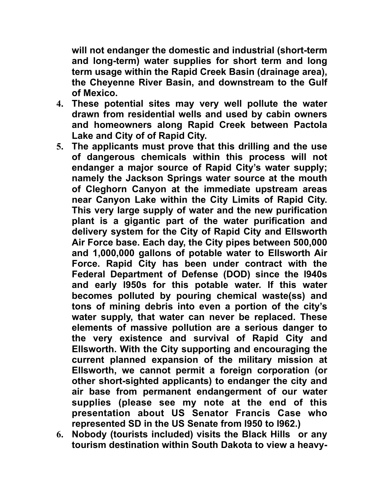**will not endanger the domestic and industrial (short-term and long-term) water supplies for short term and long term usage within the Rapid Creek Basin (drainage area), the Cheyenne River Basin, and downstream to the Gulf of Mexico.** 

- **4. These potential sites may very well pollute the water drawn from residential wells and used by cabin owners and homeowners along Rapid Creek between Pactola Lake and City of of Rapid City.**
- **5. The applicants must prove that this drilling and the use of dangerous chemicals within this process will not endanger a major source of Rapid City's water supply; namely the Jackson Springs water source at the mouth of Cleghorn Canyon at the immediate upstream areas near Canyon Lake within the City Limits of Rapid City. This very large supply of water and the new purification plant is a gigantic part of the water purification and delivery system for the City of Rapid City and Ellsworth Air Force base. Each day, the City pipes between 500,000 and 1,000,000 gallons of potable water to Ellsworth Air Force. Rapid City has been under contract with the Federal Department of Defense (DOD) since the l940s and early l950s for this potable water. If this water becomes polluted by pouring chemical waste(ss) and tons of mining debris into even a portion of the city's water supply, that water can never be replaced. These elements of massive pollution are a serious danger to the very existence and survival of Rapid City and Ellsworth. With the City supporting and encouraging the current planned expansion of the military mission at Ellsworth, we cannot permit a foreign corporation (or other short-sighted applicants) to endanger the city and air base from permanent endangerment of our water supplies (please see my note at the end of this presentation about US Senator Francis Case who represented SD in the US Senate from l950 to l962.)**
- **6. Nobody (tourists included) visits the Black Hills or any tourism destination within South Dakota to view a heavy-**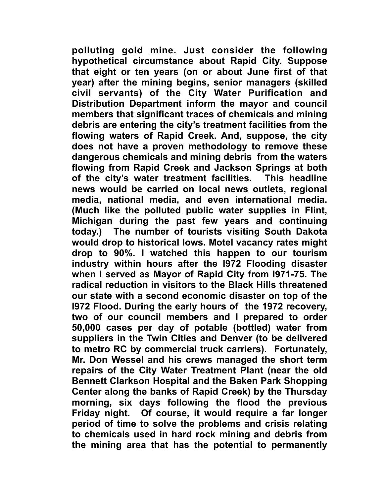**polluting gold mine. Just consider the following hypothetical circumstance about Rapid City. Suppose that eight or ten years (on or about June first of that year) after the mining begins, senior managers (skilled civil servants) of the City Water Purification and Distribution Department inform the mayor and council members that significant traces of chemicals and mining debris are entering the city's treatment facilities from the flowing waters of Rapid Creek. And, suppose, the city does not have a proven methodology to remove these dangerous chemicals and mining debris from the waters flowing from Rapid Creek and Jackson Springs at both of the city's water treatment facilities. This headline news would be carried on local news outlets, regional media, national media, and even international media. (Much like the polluted public water supplies in Flint, Michigan during the past few years and continuing today.) The number of tourists visiting South Dakota would drop to historical lows. Motel vacancy rates might drop to 90%. I watched this happen to our tourism industry within hours after the l972 Flooding disaster when I served as Mayor of Rapid City from l971-75. The radical reduction in visitors to the Black Hills threatened our state with a second economic disaster on top of the l972 Flood. During the early hours of the 1972 recovery, two of our council members and I prepared to order 50,000 cases per day of potable (bottled) water from suppliers in the Twin Cities and Denver (to be delivered to metro RC by commercial truck carriers). Fortunately, Mr. Don Wessel and his crews managed the short term repairs of the City Water Treatment Plant (near the old Bennett Clarkson Hospital and the Baken Park Shopping Center along the banks of Rapid Creek) by the Thursday morning, six days following the flood the previous Friday night. Of course, it would require a far longer period of time to solve the problems and crisis relating to chemicals used in hard rock mining and debris from the mining area that has the potential to permanently**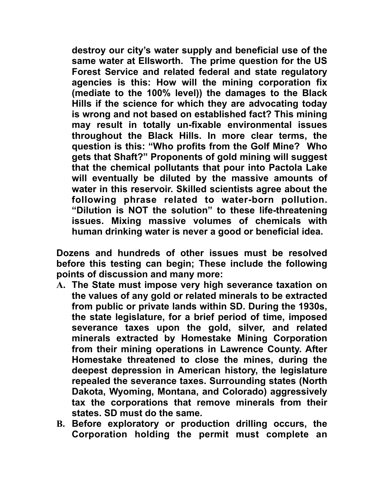**destroy our city's water supply and beneficial use of the same water at Ellsworth. The prime question for the US Forest Service and related federal and state regulatory agencies is this: How will the mining corporation fix (mediate to the 100% level)) the damages to the Black Hills if the science for which they are advocating today is wrong and not based on established fact? This mining may result in totally un-fixable environmental issues throughout the Black Hills. In more clear terms, the question is this: "Who profits from the Golf Mine? Who gets that Shaft?" Proponents of gold mining will suggest that the chemical pollutants that pour into Pactola Lake will eventually be diluted by the massive amounts of water in this reservoir. Skilled scientists agree about the following phrase related to water-born pollution. "Dilution is NOT the solution" to these life-threatening issues. Mixing massive volumes of chemicals with human drinking water is never a good or beneficial idea.** 

**Dozens and hundreds of other issues must be resolved before this testing can begin; These include the following points of discussion and many more:** 

- **A. The State must impose very high severance taxation on the values of any gold or related minerals to be extracted from public or private lands within SD. During the 1930s, the state legislature, for a brief period of time, imposed severance taxes upon the gold, silver, and related minerals extracted by Homestake Mining Corporation from their mining operations in Lawrence County. After Homestake threatened to close the mines, during the deepest depression in American history, the legislature repealed the severance taxes. Surrounding states (North Dakota, Wyoming, Montana, and Colorado) aggressively tax the corporations that remove minerals from their states. SD must do the same.**
- **B. Before exploratory or production drilling occurs, the Corporation holding the permit must complete an**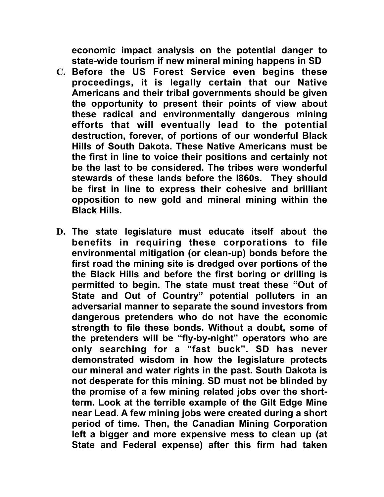**economic impact analysis on the potential danger to state-wide tourism if new mineral mining happens in SD** 

- **C. Before the US Forest Service even begins these proceedings, it is legally certain that our Native Americans and their tribal governments should be given the opportunity to present their points of view about these radical and environmentally dangerous mining efforts that will eventually lead to the potential destruction, forever, of portions of our wonderful Black Hills of South Dakota. These Native Americans must be the first in line to voice their positions and certainly not be the last to be considered. The tribes were wonderful stewards of these lands before the l860s. They should be first in line to express their cohesive and brilliant opposition to new gold and mineral mining within the Black Hills.**
- **D. The state legislature must educate itself about the benefits in requiring these corporations to file environmental mitigation (or clean-up) bonds before the first road the mining site is dredged over portions of the the Black Hills and before the first boring or drilling is permitted to begin. The state must treat these "Out of**  State and Out of Country" potential polluters in an **adversarial manner to separate the sound investors from dangerous pretenders who do not have the economic strength to file these bonds. Without a doubt, some of the pretenders will be "fly-by-night" operators who are only searching for a "fast buck". SD has never demonstrated wisdom in how the legislature protects our mineral and water rights in the past. South Dakota is not desperate for this mining. SD must not be blinded by the promise of a few mining related jobs over the shortterm. Look at the terrible example of the Gilt Edge Mine near Lead. A few mining jobs were created during a short period of time. Then, the Canadian Mining Corporation left a bigger and more expensive mess to clean up (at State and Federal expense) after this firm had taken**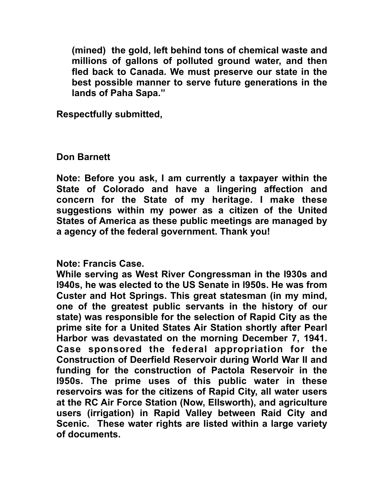**(mined) the gold, left behind tons of chemical waste and millions of gallons of polluted ground water, and then fled back to Canada. We must preserve our state in the best possible manner to serve future generations in the lands of Paha Sapa."** 

**Respectfully submitted,** 

## **Don Barnett**

**Note: Before you ask, I am currently a taxpayer within the State of Colorado and have a lingering affection and concern for the State of my heritage. I make these suggestions within my power as a citizen of the United States of America as these public meetings are managed by a agency of the federal government. Thank you!** 

## **Note: Francis Case.**

**While serving as West River Congressman in the l930s and l940s, he was elected to the US Senate in l950s. He was from Custer and Hot Springs. This great statesman (in my mind, one of the greatest public servants in the history of our state) was responsible for the selection of Rapid City as the prime site for a United States Air Station shortly after Pearl Harbor was devastated on the morning December 7, 1941. Case sponsored the federal appropriation for the Construction of Deerfield Reservoir during World War II and funding for the construction of Pactola Reservoir in the l950s. The prime uses of this public water in these reservoirs was for the citizens of Rapid City, all water users at the RC Air Force Station (Now, Ellsworth), and agriculture users (irrigation) in Rapid Valley between Raid City and Scenic. These water rights are listed within a large variety of documents.**